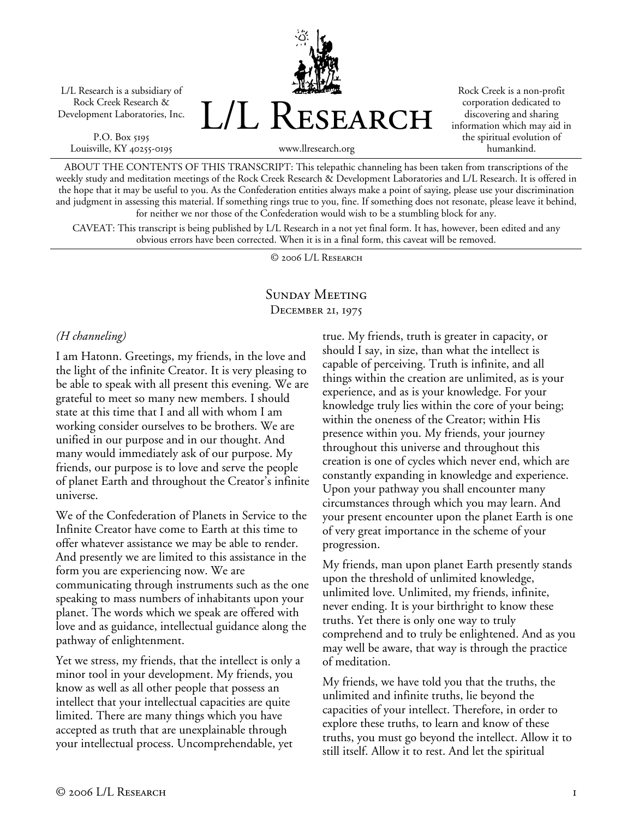L/L Research is a subsidiary of Rock Creek Research & Development Laboratories, Inc.

P.O. Box 5195 Louisville, KY 40255-0195 L/L Research

Rock Creek is a non-profit corporation dedicated to discovering and sharing information which may aid in the spiritual evolution of humankind.

www.llresearch.org

ABOUT THE CONTENTS OF THIS TRANSCRIPT: This telepathic channeling has been taken from transcriptions of the weekly study and meditation meetings of the Rock Creek Research & Development Laboratories and L/L Research. It is offered in the hope that it may be useful to you. As the Confederation entities always make a point of saying, please use your discrimination and judgment in assessing this material. If something rings true to you, fine. If something does not resonate, please leave it behind, for neither we nor those of the Confederation would wish to be a stumbling block for any.

CAVEAT: This transcript is being published by L/L Research in a not yet final form. It has, however, been edited and any obvious errors have been corrected. When it is in a final form, this caveat will be removed.

© 2006 L/L Research

# Sunday Meeting December 21, 1975

#### *(H channeling)*

I am Hatonn. Greetings, my friends, in the love and the light of the infinite Creator. It is very pleasing to be able to speak with all present this evening. We are grateful to meet so many new members. I should state at this time that I and all with whom I am working consider ourselves to be brothers. We are unified in our purpose and in our thought. And many would immediately ask of our purpose. My friends, our purpose is to love and serve the people of planet Earth and throughout the Creator's infinite universe.

We of the Confederation of Planets in Service to the Infinite Creator have come to Earth at this time to offer whatever assistance we may be able to render. And presently we are limited to this assistance in the form you are experiencing now. We are communicating through instruments such as the one speaking to mass numbers of inhabitants upon your planet. The words which we speak are offered with love and as guidance, intellectual guidance along the pathway of enlightenment.

Yet we stress, my friends, that the intellect is only a minor tool in your development. My friends, you know as well as all other people that possess an intellect that your intellectual capacities are quite limited. There are many things which you have accepted as truth that are unexplainable through your intellectual process. Uncomprehendable, yet

true. My friends, truth is greater in capacity, or should I say, in size, than what the intellect is capable of perceiving. Truth is infinite, and all things within the creation are unlimited, as is your experience, and as is your knowledge. For your knowledge truly lies within the core of your being; within the oneness of the Creator; within His presence within you. My friends, your journey throughout this universe and throughout this creation is one of cycles which never end, which are constantly expanding in knowledge and experience. Upon your pathway you shall encounter many circumstances through which you may learn. And your present encounter upon the planet Earth is one of very great importance in the scheme of your progression.

My friends, man upon planet Earth presently stands upon the threshold of unlimited knowledge, unlimited love. Unlimited, my friends, infinite, never ending. It is your birthright to know these truths. Yet there is only one way to truly comprehend and to truly be enlightened. And as you may well be aware, that way is through the practice of meditation.

My friends, we have told you that the truths, the unlimited and infinite truths, lie beyond the capacities of your intellect. Therefore, in order to explore these truths, to learn and know of these truths, you must go beyond the intellect. Allow it to still itself. Allow it to rest. And let the spiritual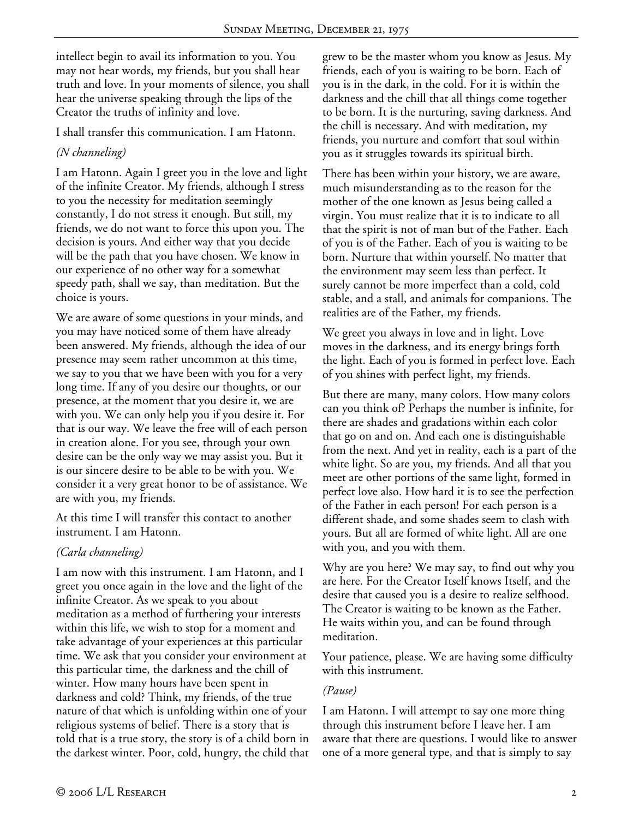intellect begin to avail its information to you. You may not hear words, my friends, but you shall hear truth and love. In your moments of silence, you shall hear the universe speaking through the lips of the Creator the truths of infinity and love.

I shall transfer this communication. I am Hatonn.

# *(N channeling)*

I am Hatonn. Again I greet you in the love and light of the infinite Creator. My friends, although I stress to you the necessity for meditation seemingly constantly, I do not stress it enough. But still, my friends, we do not want to force this upon you. The decision is yours. And either way that you decide will be the path that you have chosen. We know in our experience of no other way for a somewhat speedy path, shall we say, than meditation. But the choice is yours.

We are aware of some questions in your minds, and you may have noticed some of them have already been answered. My friends, although the idea of our presence may seem rather uncommon at this time, we say to you that we have been with you for a very long time. If any of you desire our thoughts, or our presence, at the moment that you desire it, we are with you. We can only help you if you desire it. For that is our way. We leave the free will of each person in creation alone. For you see, through your own desire can be the only way we may assist you. But it is our sincere desire to be able to be with you. We consider it a very great honor to be of assistance. We are with you, my friends.

At this time I will transfer this contact to another instrument. I am Hatonn.

## *(Carla channeling)*

I am now with this instrument. I am Hatonn, and I greet you once again in the love and the light of the infinite Creator. As we speak to you about meditation as a method of furthering your interests within this life, we wish to stop for a moment and take advantage of your experiences at this particular time. We ask that you consider your environment at this particular time, the darkness and the chill of winter. How many hours have been spent in darkness and cold? Think, my friends, of the true nature of that which is unfolding within one of your religious systems of belief. There is a story that is told that is a true story, the story is of a child born in the darkest winter. Poor, cold, hungry, the child that

grew to be the master whom you know as Jesus. My friends, each of you is waiting to be born. Each of you is in the dark, in the cold. For it is within the darkness and the chill that all things come together to be born. It is the nurturing, saving darkness. And the chill is necessary. And with meditation, my friends, you nurture and comfort that soul within you as it struggles towards its spiritual birth.

There has been within your history, we are aware, much misunderstanding as to the reason for the mother of the one known as Jesus being called a virgin. You must realize that it is to indicate to all that the spirit is not of man but of the Father. Each of you is of the Father. Each of you is waiting to be born. Nurture that within yourself. No matter that the environment may seem less than perfect. It surely cannot be more imperfect than a cold, cold stable, and a stall, and animals for companions. The realities are of the Father, my friends.

We greet you always in love and in light. Love moves in the darkness, and its energy brings forth the light. Each of you is formed in perfect love. Each of you shines with perfect light, my friends.

But there are many, many colors. How many colors can you think of? Perhaps the number is infinite, for there are shades and gradations within each color that go on and on. And each one is distinguishable from the next. And yet in reality, each is a part of the white light. So are you, my friends. And all that you meet are other portions of the same light, formed in perfect love also. How hard it is to see the perfection of the Father in each person! For each person is a different shade, and some shades seem to clash with yours. But all are formed of white light. All are one with you, and you with them.

Why are you here? We may say, to find out why you are here. For the Creator Itself knows Itself, and the desire that caused you is a desire to realize selfhood. The Creator is waiting to be known as the Father. He waits within you, and can be found through meditation.

Your patience, please. We are having some difficulty with this instrument.

## *(Pause)*

I am Hatonn. I will attempt to say one more thing through this instrument before I leave her. I am aware that there are questions. I would like to answer one of a more general type, and that is simply to say